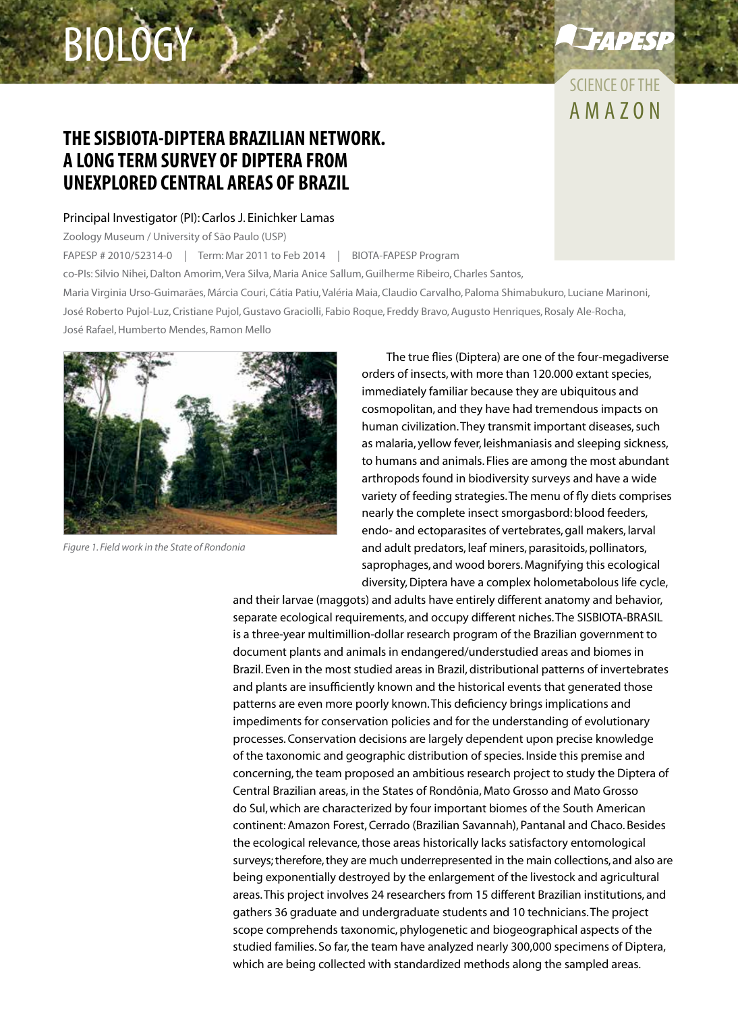# biology

# AMAZON Science of the

**EAPESP** 

## **The SISBIOTA-Diptera Brazilian network. A long term survey of Diptera from unexplored central areas of Brazil**

#### Principal Investigator (PI): Carlos J. Einichker Lamas

Zoology Museum / University of São Paulo (USP)

FAPESP # 2010/52314-0 | Term: Mar 2011 to Feb 2014 | BIOTA-FAPESP Program co-PIs: Silvio Nihei, Dalton Amorim, Vera Silva, Maria Anice Sallum, Guilherme Ribeiro, Charles Santos, Maria Virginia Urso-Guimarães, Márcia Couri, Cátia Patiu, Valéria Maia, Claudio Carvalho, Paloma Shimabukuro, Luciane Marinoni, José Roberto Pujol-Luz, Cristiane Pujol, Gustavo Graciolli, Fabio Roque, Freddy Bravo, Augusto Henriques, Rosaly Ale-Rocha, José Rafael, Humberto Mendes, Ramon Mello



*Figure 1. Field work in the State of Rondonia*

The true flies (Diptera) are one of the four-megadiverse orders of insects, with more than 120.000 extant species, immediately familiar because they are ubiquitous and cosmopolitan, and they have had tremendous impacts on human civilization. They transmit important diseases, such as malaria, yellow fever, leishmaniasis and sleeping sickness, to humans and animals. Flies are among the most abundant arthropods found in biodiversity surveys and have a wide variety of feeding strategies. The menu of fly diets comprises nearly the complete insect smorgasbord: blood feeders, endo- and ectoparasites of vertebrates, gall makers, larval and adult predators, leaf miners, parasitoids, pollinators, saprophages, and wood borers. Magnifying this ecological diversity, Diptera have a complex holometabolous life cycle,

and their larvae (maggots) and adults have entirely different anatomy and behavior, separate ecological requirements, and occupy different niches. The SISBIOTA-BRASIL is a three-year multimillion-dollar research program of the Brazilian government to document plants and animals in endangered/understudied areas and biomes in Brazil. Even in the most studied areas in Brazil, distributional patterns of invertebrates and plants are insufficiently known and the historical events that generated those patterns are even more poorly known. This deficiency brings implications and impediments for conservation policies and for the understanding of evolutionary processes. Conservation decisions are largely dependent upon precise knowledge of the taxonomic and geographic distribution of species. Inside this premise and concerning, the team proposed an ambitious research project to study the Diptera of Central Brazilian areas, in the States of Rondônia, Mato Grosso and Mato Grosso do Sul, which are characterized by four important biomes of the South American continent: Amazon Forest, Cerrado (Brazilian Savannah), Pantanal and Chaco. Besides the ecological relevance, those areas historically lacks satisfactory entomological surveys; therefore, they are much underrepresented in the main collections, and also are being exponentially destroyed by the enlargement of the livestock and agricultural areas. This project involves 24 researchers from 15 different Brazilian institutions, and gathers 36 graduate and undergraduate students and 10 technicians. The project scope comprehends taxonomic, phylogenetic and biogeographical aspects of the studied families. So far, the team have analyzed nearly 300,000 specimens of Diptera, which are being collected with standardized methods along the sampled areas.